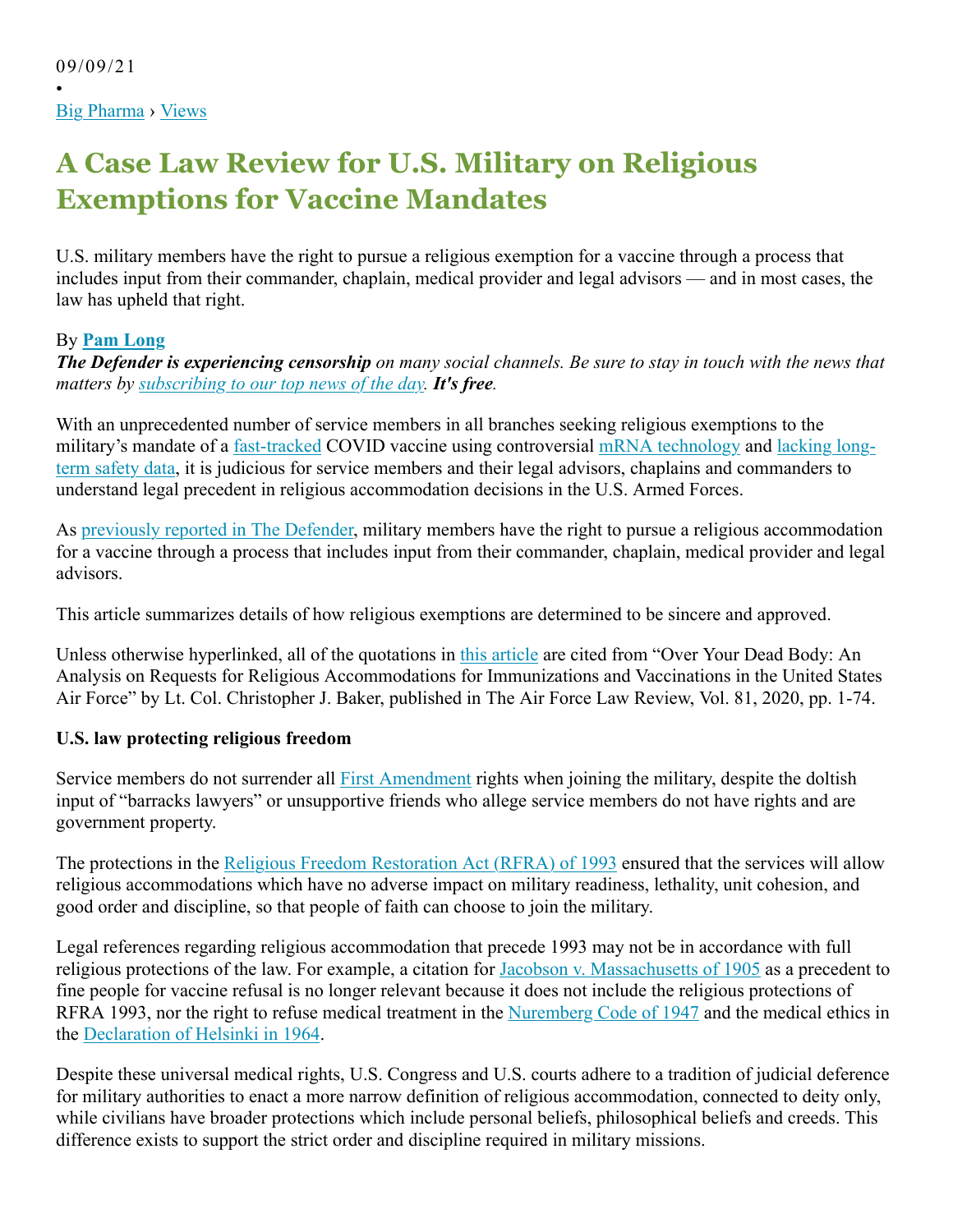•

# **A Case Law Review for U.S. Military on Religious Exemptions for Vaccine Mandates**

U.S. military members have the right to pursue a religious exemption for a vaccine through a process that includes input from their commander, chaplain, medical provider and legal advisors — and in most cases, the law has upheld that right.

# By **Pam Long**

*The Defender is experiencing censorship on many social channels. Be sure to stay in touch with the news that matters by subscribing to our top news of the day. It's free.*

With an unprecedented number of service members in all branches seeking religious exemptions to the military's mandate of a fast-tracked COVID vaccine using controversial mRNA technology and lacking longterm safety data, it is judicious for service members and their legal advisors, chaplains and commanders to understand legal precedent in religious accommodation decisions in the U.S. Armed Forces.

As previously reported in The Defender, military members have the right to pursue a religious accommodation for a vaccine through a process that includes input from their commander, chaplain, medical provider and legal advisors.

This article summarizes details of how religious exemptions are determined to be sincere and approved.

Unless otherwise hyperlinked, all of the quotations in this article are cited from "Over Your Dead Body: An Analysis on Requests for Religious Accommodations for Immunizations and Vaccinations in the United States Air Force" by Lt. Col. Christopher J. Baker, published in The Air Force Law Review, Vol. 81, 2020, pp. 1-74.

#### **U.S. law protecting religious freedom**

Service members do not surrender all First Amendment rights when joining the military, despite the doltish input of "barracks lawyers" or unsupportive friends who allege service members do not have rights and are government property.

The protections in the Religious Freedom Restoration Act (RFRA) of 1993 ensured that the services will allow religious accommodations which have no adverse impact on military readiness, lethality, unit cohesion, and good order and discipline, so that people of faith can choose to join the military.

Legal references regarding religious accommodation that precede 1993 may not be in accordance with full religious protections of the law. For example, a citation for Jacobson v. Massachusetts of 1905 as a precedent to fine people for vaccine refusal is no longer relevant because it does not include the religious protections of RFRA 1993, nor the right to refuse medical treatment in the Nuremberg Code of 1947 and the medical ethics in the Declaration of Helsinki in 1964.

Despite these universal medical rights, U.S. Congress and U.S. courts adhere to a tradition of judicial deference for military authorities to enact a more narrow definition of religious accommodation, connected to deity only, while civilians have broader protections which include personal beliefs, philosophical beliefs and creeds. This difference exists to support the strict order and discipline required in military missions.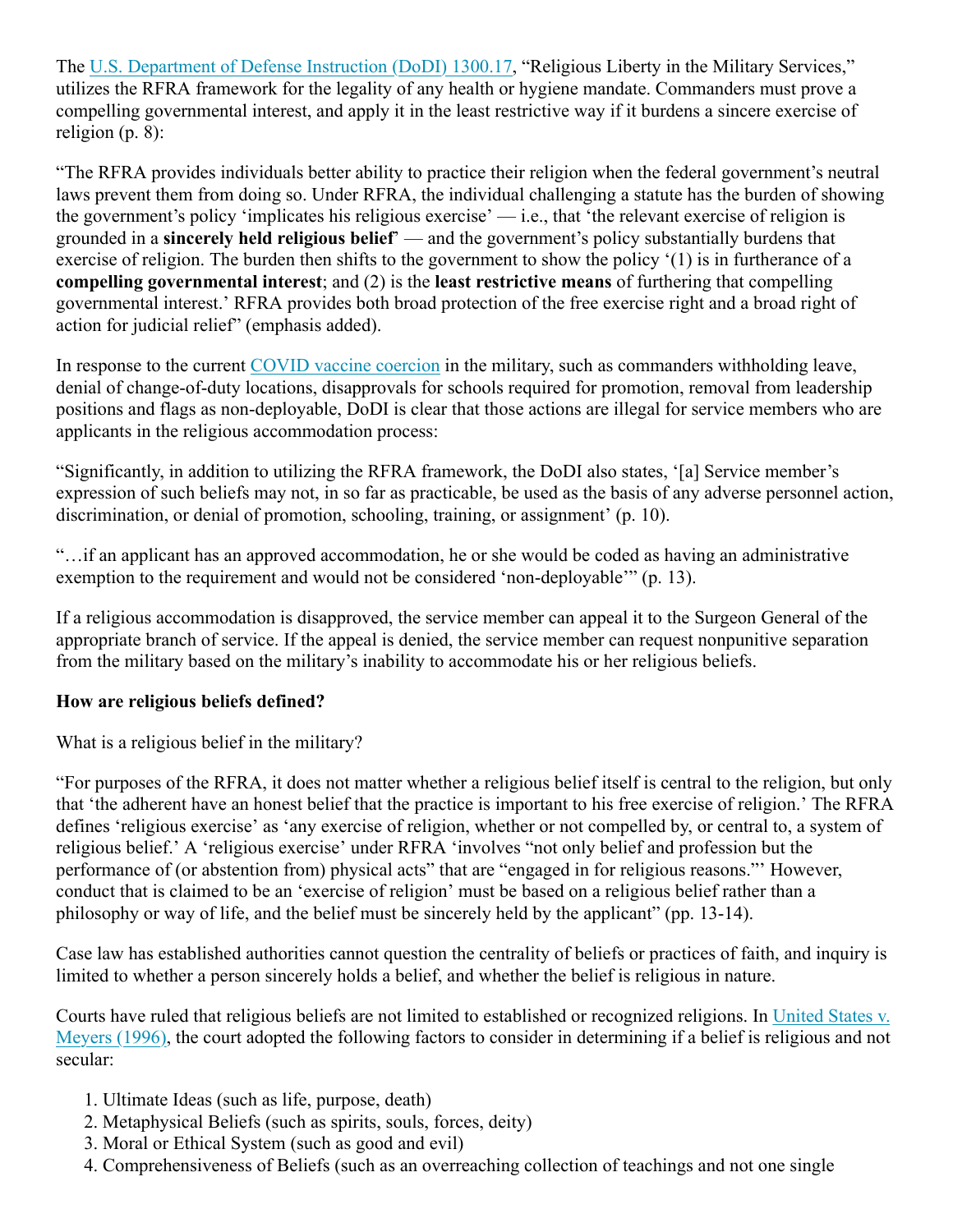The U.S. Department of Defense Instruction (DoDI) 1300.17, "Religious Liberty in the Military Services," utilizes the RFRA framework for the legality of any health or hygiene mandate. Commanders must prove a compelling governmental interest, and apply it in the least restrictive way if it burdens a sincere exercise of religion (p. 8):

"The RFRA provides individuals better ability to practice their religion when the federal government's neutral laws prevent them from doing so. Under RFRA, the individual challenging a statute has the burden of showing the government's policy 'implicates his religious exercise' — i.e., that 'the relevant exercise of religion is grounded in a **sincerely held religious belief**' — and the government's policy substantially burdens that exercise of religion. The burden then shifts to the government to show the policy '(1) is in furtherance of a **compelling governmental interest**; and (2) is the **least restrictive means** of furthering that compelling governmental interest.' RFRA provides both broad protection of the free exercise right and a broad right of action for judicial relief" (emphasis added).

In response to the current COVID vaccine coercion in the military, such as commanders withholding leave, denial of change-of-duty locations, disapprovals for schools required for promotion, removal from leadership positions and flags as non-deployable, DoDI is clear that those actions are illegal for service members who are applicants in the religious accommodation process:

"Significantly, in addition to utilizing the RFRA framework, the DoDI also states, '[a] Service member's expression of such beliefs may not, in so far as practicable, be used as the basis of any adverse personnel action, discrimination, or denial of promotion, schooling, training, or assignment' (p. 10).

"…if an applicant has an approved accommodation, he or she would be coded as having an administrative exemption to the requirement and would not be considered 'non-deployable'" (p. 13).

If a religious accommodation is disapproved, the service member can appeal it to the Surgeon General of the appropriate branch of service. If the appeal is denied, the service member can request nonpunitive separation from the military based on the military's inability to accommodate his or her religious beliefs.

#### **How are religious beliefs defined?**

What is a religious belief in the military?

"For purposes of the RFRA, it does not matter whether a religious belief itself is central to the religion, but only that 'the adherent have an honest belief that the practice is important to his free exercise of religion.' The RFRA defines 'religious exercise' as 'any exercise of religion, whether or not compelled by, or central to, a system of religious belief.' A 'religious exercise' under RFRA 'involves "not only belief and profession but the performance of (or abstention from) physical acts" that are "engaged in for religious reasons."' However, conduct that is claimed to be an 'exercise of religion' must be based on a religious belief rather than a philosophy or way of life, and the belief must be sincerely held by the applicant" (pp. 13-14).

Case law has established authorities cannot question the centrality of beliefs or practices of faith, and inquiry is limited to whether a person sincerely holds a belief, and whether the belief is religious in nature.

Courts have ruled that religious beliefs are not limited to established or recognized religions. In United States v. Meyers (1996), the court adopted the following factors to consider in determining if a belief is religious and not secular:

- 1. Ultimate Ideas (such as life, purpose, death)
- 2. Metaphysical Beliefs (such as spirits, souls, forces, deity)
- 3. Moral or Ethical System (such as good and evil)
- 4. Comprehensiveness of Beliefs (such as an overreaching collection of teachings and not one single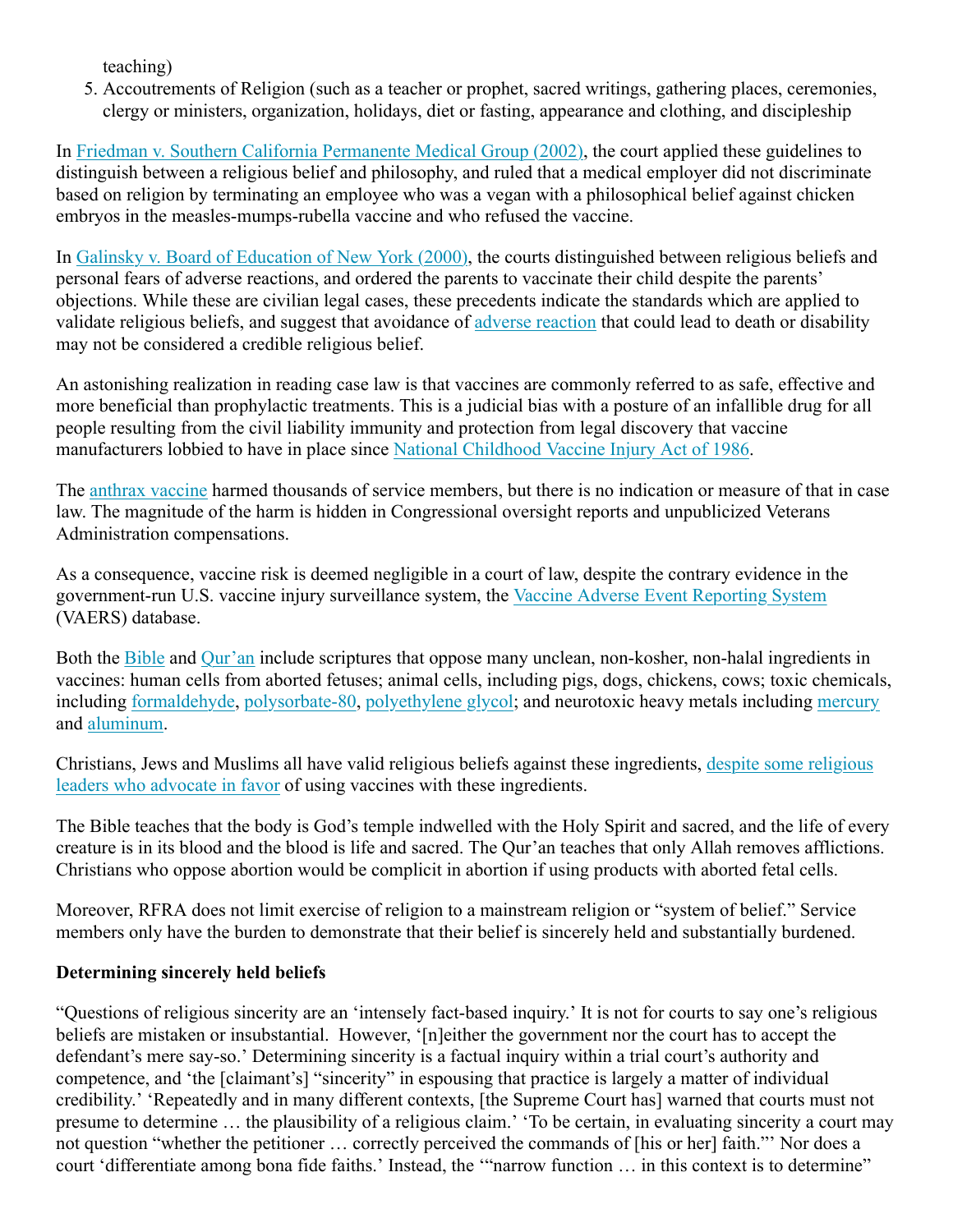teaching)

5. Accoutrements of Religion (such as a teacher or prophet, sacred writings, gathering places, ceremonies, clergy or ministers, organization, holidays, diet or fasting, appearance and clothing, and discipleship

In Friedman v. Southern California Permanente Medical Group (2002), the court applied these guidelines to distinguish between a religious belief and philosophy, and ruled that a medical employer did not discriminate based on religion by terminating an employee who was a vegan with a philosophical belief against chicken embryos in the measles-mumps-rubella vaccine and who refused the vaccine.

In Galinsky v. Board of Education of New York (2000), the courts distinguished between religious beliefs and personal fears of adverse reactions, and ordered the parents to vaccinate their child despite the parents' objections. While these are civilian legal cases, these precedents indicate the standards which are applied to validate religious beliefs, and suggest that avoidance of adverse reaction that could lead to death or disability may not be considered a credible religious belief.

An astonishing realization in reading case law is that vaccines are commonly referred to as safe, effective and more beneficial than prophylactic treatments. This is a judicial bias with a posture of an infallible drug for all people resulting from the civil liability immunity and protection from legal discovery that vaccine manufacturers lobbied to have in place since National Childhood Vaccine Injury Act of 1986.

The anthrax vaccine harmed thousands of service members, but there is no indication or measure of that in case law. The magnitude of the harm is hidden in Congressional oversight reports and unpublicized Veterans Administration compensations.

As a consequence, vaccine risk is deemed negligible in a court of law, despite the contrary evidence in the government-run U.S. vaccine injury surveillance system, the Vaccine Adverse Event Reporting System (VAERS) database.

Both the Bible and Qur'an include scriptures that oppose many unclean, non-kosher, non-halal ingredients in vaccines: human cells from aborted fetuses; animal cells, including pigs, dogs, chickens, cows; toxic chemicals, including formaldehyde, polysorbate-80, polyethylene glycol; and neurotoxic heavy metals including mercury and aluminum.

Christians, Jews and Muslims all have valid religious beliefs against these ingredients, despite some religious leaders who advocate in favor of using vaccines with these ingredients.

The Bible teaches that the body is God's temple indwelled with the Holy Spirit and sacred, and the life of every creature is in its blood and the blood is life and sacred. The Qur'an teaches that only Allah removes afflictions. Christians who oppose abortion would be complicit in abortion if using products with aborted fetal cells.

Moreover, RFRA does not limit exercise of religion to a mainstream religion or "system of belief." Service members only have the burden to demonstrate that their belief is sincerely held and substantially burdened.

# **Determining sincerely held beliefs**

"Questions of religious sincerity are an 'intensely fact-based inquiry.' It is not for courts to say one's religious beliefs are mistaken or insubstantial. However, '[n]either the government nor the court has to accept the defendant's mere say-so.' Determining sincerity is a factual inquiry within a trial court's authority and competence, and 'the [claimant's] "sincerity" in espousing that practice is largely a matter of individual credibility.' 'Repeatedly and in many different contexts, [the Supreme Court has] warned that courts must not presume to determine … the plausibility of a religious claim.' 'To be certain, in evaluating sincerity a court may not question "whether the petitioner … correctly perceived the commands of [his or her] faith."' Nor does a court 'differentiate among bona fide faiths.' Instead, the '"narrow function … in this context is to determine"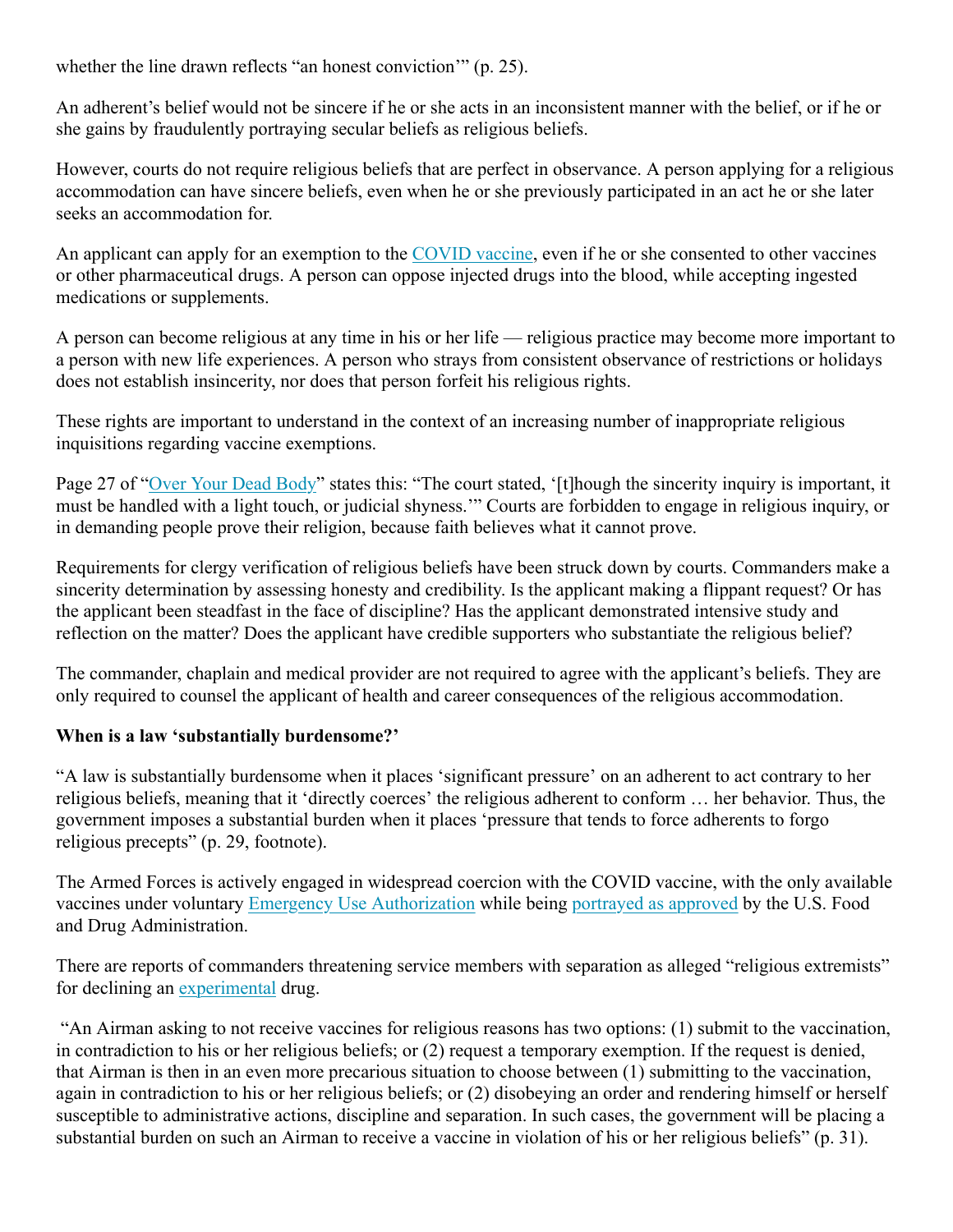whether the line drawn reflects "an honest conviction" (p. 25).

An adherent's belief would not be sincere if he or she acts in an inconsistent manner with the belief, or if he or she gains by fraudulently portraying secular beliefs as religious beliefs.

However, courts do not require religious beliefs that are perfect in observance. A person applying for a religious accommodation can have sincere beliefs, even when he or she previously participated in an act he or she later seeks an accommodation for.

An applicant can apply for an exemption to the COVID vaccine, even if he or she consented to other vaccines or other pharmaceutical drugs. A person can oppose injected drugs into the blood, while accepting ingested medications or supplements.

A person can become religious at any time in his or her life — religious practice may become more important to a person with new life experiences. A person who strays from consistent observance of restrictions or holidays does not establish insincerity, nor does that person forfeit his religious rights.

These rights are important to understand in the context of an increasing number of inappropriate religious inquisitions regarding vaccine exemptions.

Page 27 of "Over Your Dead Body" states this: "The court stated, '[t]hough the sincerity inquiry is important, it must be handled with a light touch, or judicial shyness.'" Courts are forbidden to engage in religious inquiry, or in demanding people prove their religion, because faith believes what it cannot prove.

Requirements for clergy verification of religious beliefs have been struck down by courts. Commanders make a sincerity determination by assessing honesty and credibility. Is the applicant making a flippant request? Or has the applicant been steadfast in the face of discipline? Has the applicant demonstrated intensive study and reflection on the matter? Does the applicant have credible supporters who substantiate the religious belief?

The commander, chaplain and medical provider are not required to agree with the applicant's beliefs. They are only required to counsel the applicant of health and career consequences of the religious accommodation.

# **When is a law 'substantially burdensome?'**

"A law is substantially burdensome when it places 'significant pressure' on an adherent to act contrary to her religious beliefs, meaning that it 'directly coerces' the religious adherent to conform … her behavior. Thus, the government imposes a substantial burden when it places 'pressure that tends to force adherents to forgo religious precepts" (p. 29, footnote).

The Armed Forces is actively engaged in widespread coercion with the COVID vaccine, with the only available vaccines under voluntary Emergency Use Authorization while being portrayed as approved by the U.S. Food and Drug Administration.

There are reports of commanders threatening service members with separation as alleged "religious extremists" for declining an experimental drug.

 "An Airman asking to not receive vaccines for religious reasons has two options: (1) submit to the vaccination, in contradiction to his or her religious beliefs; or (2) request a temporary exemption. If the request is denied, that Airman is then in an even more precarious situation to choose between (1) submitting to the vaccination, again in contradiction to his or her religious beliefs; or (2) disobeying an order and rendering himself or herself susceptible to administrative actions, discipline and separation. In such cases, the government will be placing a substantial burden on such an Airman to receive a vaccine in violation of his or her religious beliefs" (p. 31).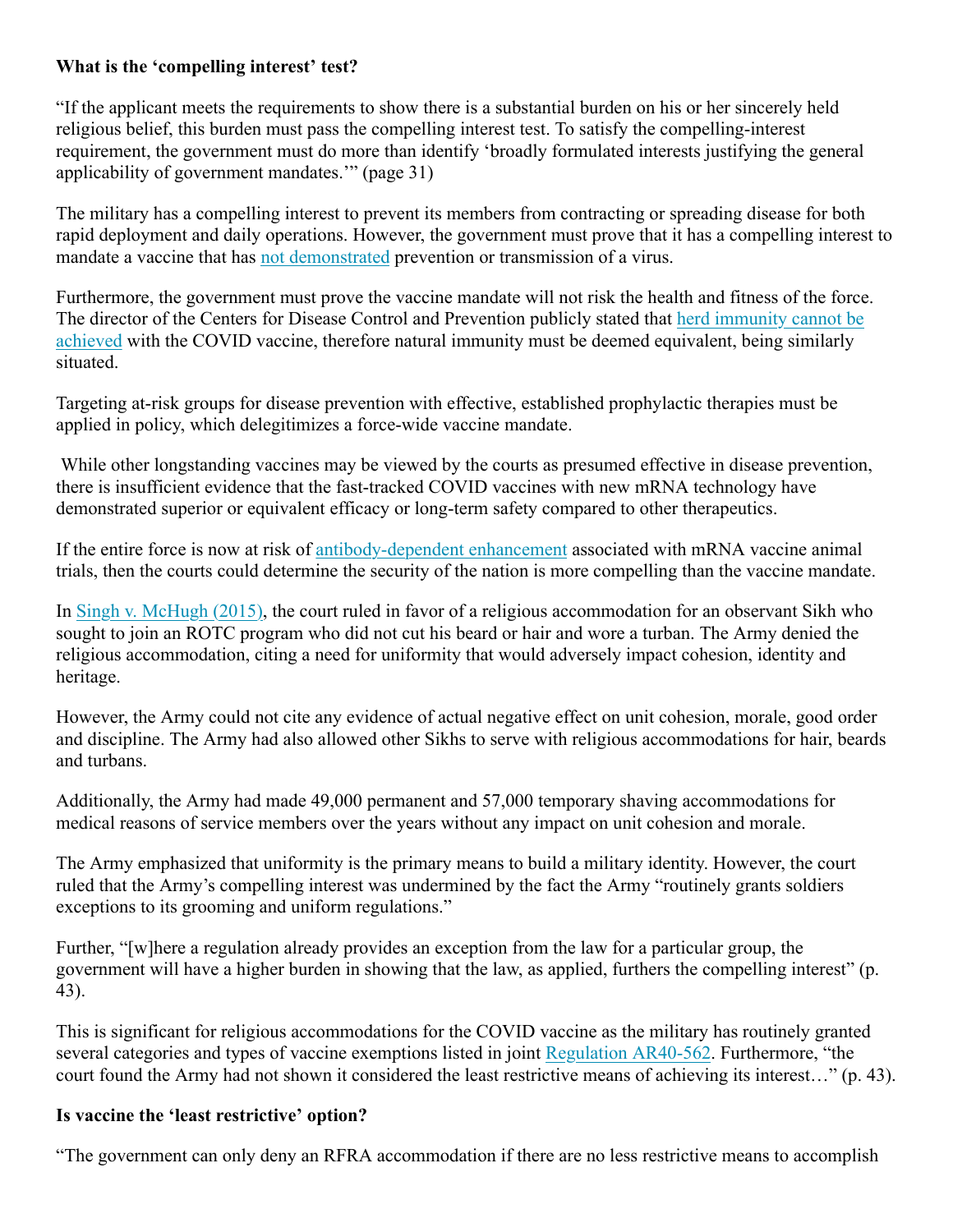#### **What is the 'compelling interest' test?**

"If the applicant meets the requirements to show there is a substantial burden on his or her sincerely held religious belief, this burden must pass the compelling interest test. To satisfy the compelling-interest requirement, the government must do more than identify 'broadly formulated interests justifying the general applicability of government mandates.'" (page 31)

The military has a compelling interest to prevent its members from contracting or spreading disease for both rapid deployment and daily operations. However, the government must prove that it has a compelling interest to mandate a vaccine that has not demonstrated prevention or transmission of a virus.

Furthermore, the government must prove the vaccine mandate will not risk the health and fitness of the force. The director of the Centers for Disease Control and Prevention publicly stated that herd immunity cannot be achieved with the COVID vaccine, therefore natural immunity must be deemed equivalent, being similarly situated.

Targeting at-risk groups for disease prevention with effective, established prophylactic therapies must be applied in policy, which delegitimizes a force-wide vaccine mandate.

While other longstanding vaccines may be viewed by the courts as presumed effective in disease prevention, there is insufficient evidence that the fast-tracked COVID vaccines with new mRNA technology have demonstrated superior or equivalent efficacy or long-term safety compared to other therapeutics.

If the entire force is now at risk of antibody-dependent enhancement associated with mRNA vaccine animal trials, then the courts could determine the security of the nation is more compelling than the vaccine mandate.

In Singh v. McHugh (2015), the court ruled in favor of a religious accommodation for an observant Sikh who sought to join an ROTC program who did not cut his beard or hair and wore a turban. The Army denied the religious accommodation, citing a need for uniformity that would adversely impact cohesion, identity and heritage.

However, the Army could not cite any evidence of actual negative effect on unit cohesion, morale, good order and discipline. The Army had also allowed other Sikhs to serve with religious accommodations for hair, beards and turbans.

Additionally, the Army had made 49,000 permanent and 57,000 temporary shaving accommodations for medical reasons of service members over the years without any impact on unit cohesion and morale.

The Army emphasized that uniformity is the primary means to build a military identity. However, the court ruled that the Army's compelling interest was undermined by the fact the Army "routinely grants soldiers exceptions to its grooming and uniform regulations."

Further, "[w]here a regulation already provides an exception from the law for a particular group, the government will have a higher burden in showing that the law, as applied, furthers the compelling interest" (p. 43).

This is significant for religious accommodations for the COVID vaccine as the military has routinely granted several categories and types of vaccine exemptions listed in joint Regulation AR40-562. Furthermore, "the court found the Army had not shown it considered the least restrictive means of achieving its interest…" (p. 43).

# **Is vaccine the 'least restrictive' option?**

"The government can only deny an RFRA accommodation if there are no less restrictive means to accomplish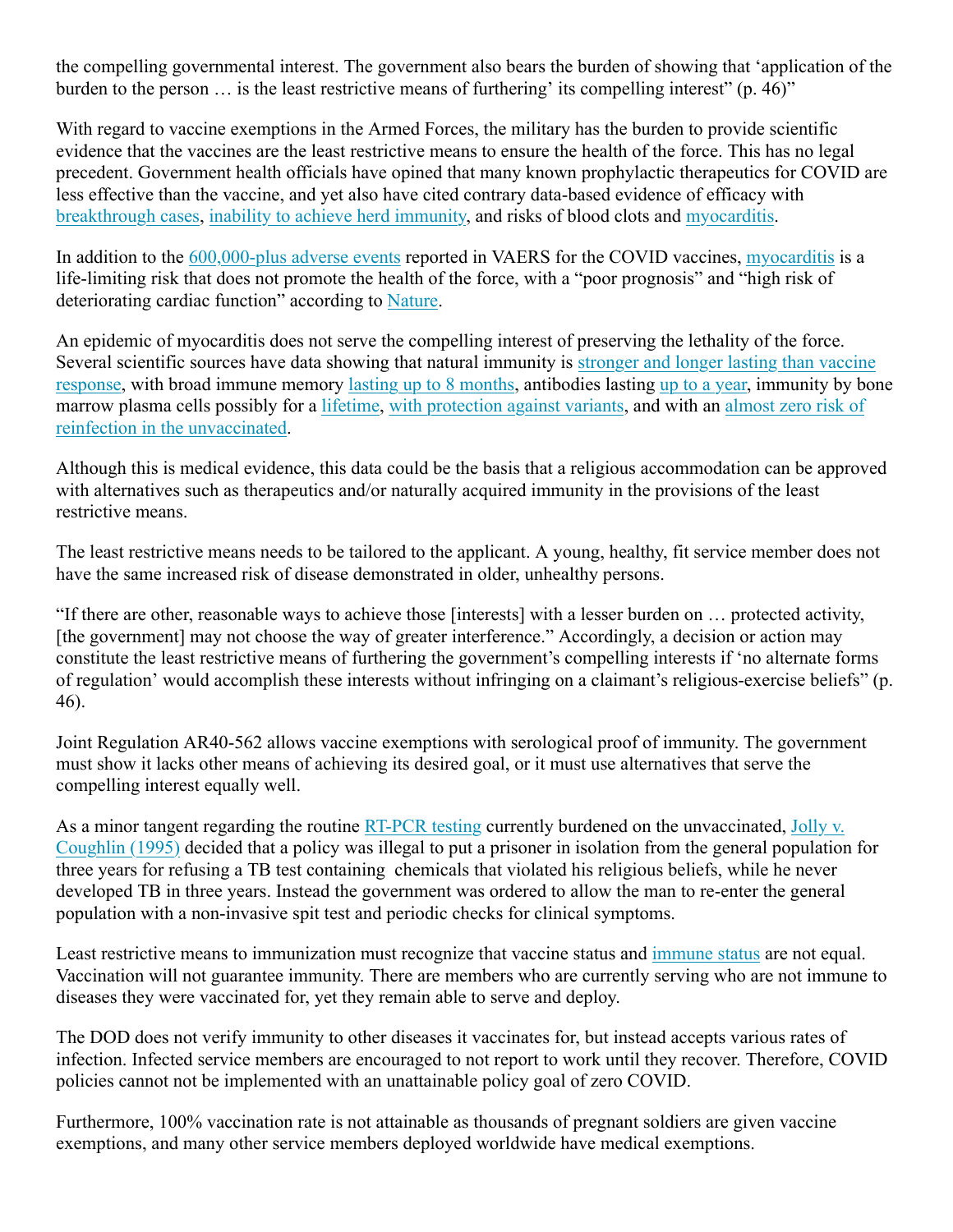the compelling governmental interest. The government also bears the burden of showing that 'application of the burden to the person … is the least restrictive means of furthering' its compelling interest" (p. 46)"

With regard to vaccine exemptions in the Armed Forces, the military has the burden to provide scientific evidence that the vaccines are the least restrictive means to ensure the health of the force. This has no legal precedent. Government health officials have opined that many known prophylactic therapeutics for COVID are less effective than the vaccine, and yet also have cited contrary data-based evidence of efficacy with breakthrough cases, inability to achieve herd immunity, and risks of blood clots and myocarditis.

In addition to the 600,000-plus adverse events reported in VAERS for the COVID vaccines, myocarditis is a life-limiting risk that does not promote the health of the force, with a "poor prognosis" and "high risk of deteriorating cardiac function" according to Nature.

An epidemic of myocarditis does not serve the compelling interest of preserving the lethality of the force. Several scientific sources have data showing that natural immunity is stronger and longer lasting than vaccine response, with broad immune memory lasting up to 8 months, antibodies lasting up to a year, immunity by bone marrow plasma cells possibly for a lifetime, with protection against variants, and with an almost zero risk of reinfection in the unvaccinated.

Although this is medical evidence, this data could be the basis that a religious accommodation can be approved with alternatives such as therapeutics and/or naturally acquired immunity in the provisions of the least restrictive means.

The least restrictive means needs to be tailored to the applicant. A young, healthy, fit service member does not have the same increased risk of disease demonstrated in older, unhealthy persons.

"If there are other, reasonable ways to achieve those [interests] with a lesser burden on … protected activity, [the government] may not choose the way of greater interference." Accordingly, a decision or action may constitute the least restrictive means of furthering the government's compelling interests if 'no alternate forms of regulation' would accomplish these interests without infringing on a claimant's religious-exercise beliefs" (p. 46).

Joint Regulation AR40-562 allows vaccine exemptions with serological proof of immunity. The government must show it lacks other means of achieving its desired goal, or it must use alternatives that serve the compelling interest equally well.

As a minor tangent regarding the routine RT-PCR testing currently burdened on the unvaccinated, Jolly v. Coughlin (1995) decided that a policy was illegal to put a prisoner in isolation from the general population for three years for refusing a TB test containing chemicals that violated his religious beliefs, while he never developed TB in three years. Instead the government was ordered to allow the man to re-enter the general population with a non-invasive spit test and periodic checks for clinical symptoms.

Least restrictive means to immunization must recognize that vaccine status and immune status are not equal. Vaccination will not guarantee immunity. There are members who are currently serving who are not immune to diseases they were vaccinated for, yet they remain able to serve and deploy.

The DOD does not verify immunity to other diseases it vaccinates for, but instead accepts various rates of infection. Infected service members are encouraged to not report to work until they recover. Therefore, COVID policies cannot not be implemented with an unattainable policy goal of zero COVID.

Furthermore, 100% vaccination rate is not attainable as thousands of pregnant soldiers are given vaccine exemptions, and many other service members deployed worldwide have medical exemptions.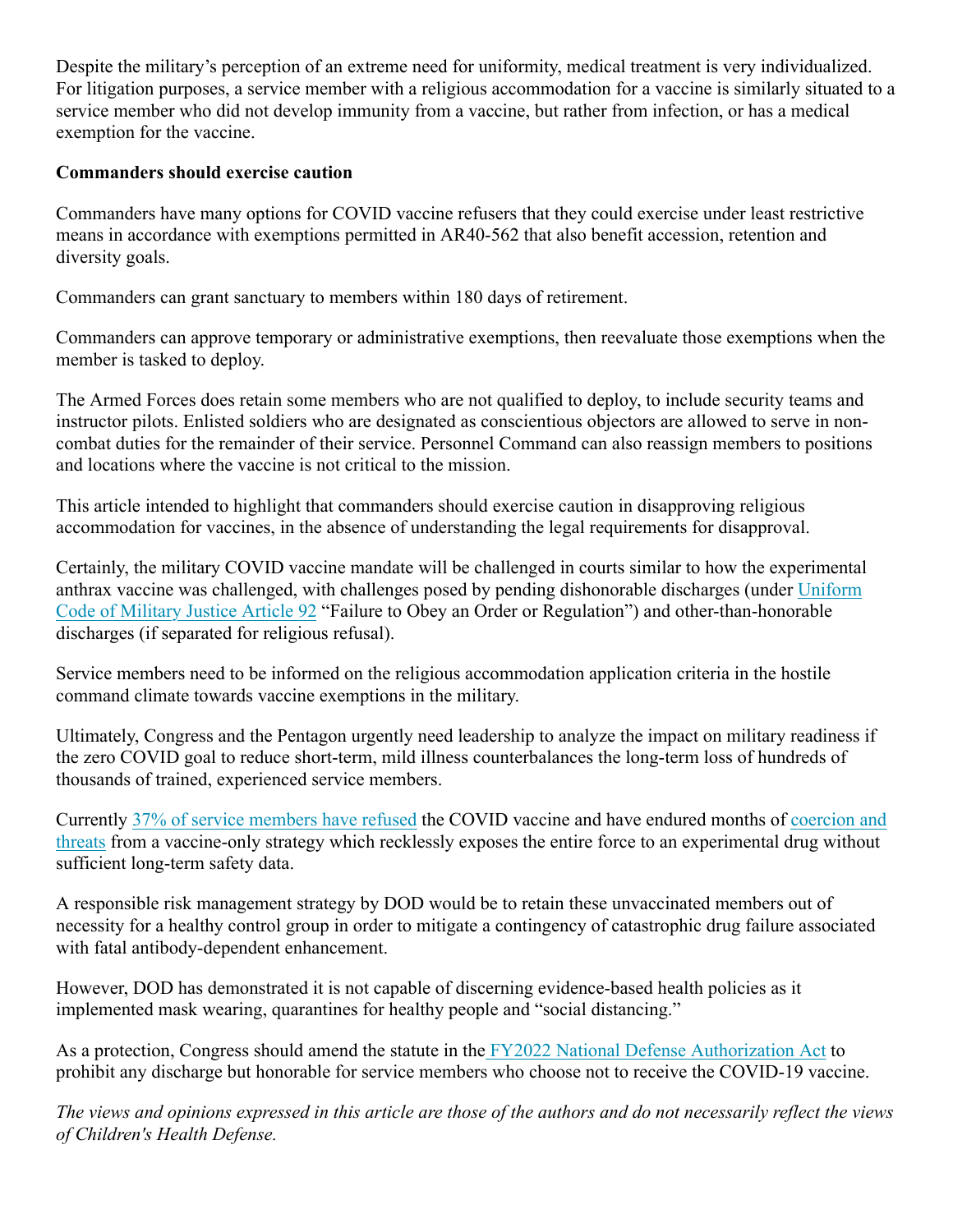Despite the military's perception of an extreme need for uniformity, medical treatment is very individualized. For litigation purposes, a service member with a religious accommodation for a vaccine is similarly situated to a service member who did not develop immunity from a vaccine, but rather from infection, or has a medical exemption for the vaccine.

#### **Commanders should exercise caution**

Commanders have many options for COVID vaccine refusers that they could exercise under least restrictive means in accordance with exemptions permitted in AR40-562 that also benefit accession, retention and diversity goals.

Commanders can grant sanctuary to members within 180 days of retirement.

Commanders can approve temporary or administrative exemptions, then reevaluate those exemptions when the member is tasked to deploy.

The Armed Forces does retain some members who are not qualified to deploy, to include security teams and instructor pilots. Enlisted soldiers who are designated as conscientious objectors are allowed to serve in noncombat duties for the remainder of their service. Personnel Command can also reassign members to positions and locations where the vaccine is not critical to the mission.

This article intended to highlight that commanders should exercise caution in disapproving religious accommodation for vaccines, in the absence of understanding the legal requirements for disapproval.

Certainly, the military COVID vaccine mandate will be challenged in courts similar to how the experimental anthrax vaccine was challenged, with challenges posed by pending dishonorable discharges (under Uniform Code of Military Justice Article 92 "Failure to Obey an Order or Regulation") and other-than-honorable discharges (if separated for religious refusal).

Service members need to be informed on the religious accommodation application criteria in the hostile command climate towards vaccine exemptions in the military.

Ultimately, Congress and the Pentagon urgently need leadership to analyze the impact on military readiness if the zero COVID goal to reduce short-term, mild illness counterbalances the long-term loss of hundreds of thousands of trained, experienced service members.

Currently 37% of service members have refused the COVID vaccine and have endured months of coercion and threats from a vaccine-only strategy which recklessly exposes the entire force to an experimental drug without sufficient long-term safety data.

A responsible risk management strategy by DOD would be to retain these unvaccinated members out of necessity for a healthy control group in order to mitigate a contingency of catastrophic drug failure associated with fatal antibody-dependent enhancement.

However, DOD has demonstrated it is not capable of discerning evidence-based health policies as it implemented mask wearing, quarantines for healthy people and "social distancing."

As a protection, Congress should amend the statute in the FY2022 National Defense Authorization Act to prohibit any discharge but honorable for service members who choose not to receive the COVID-19 vaccine.

*The views and opinions expressed in this article are those of the authors and do not necessarily reflect the views of Children's Health Defense.*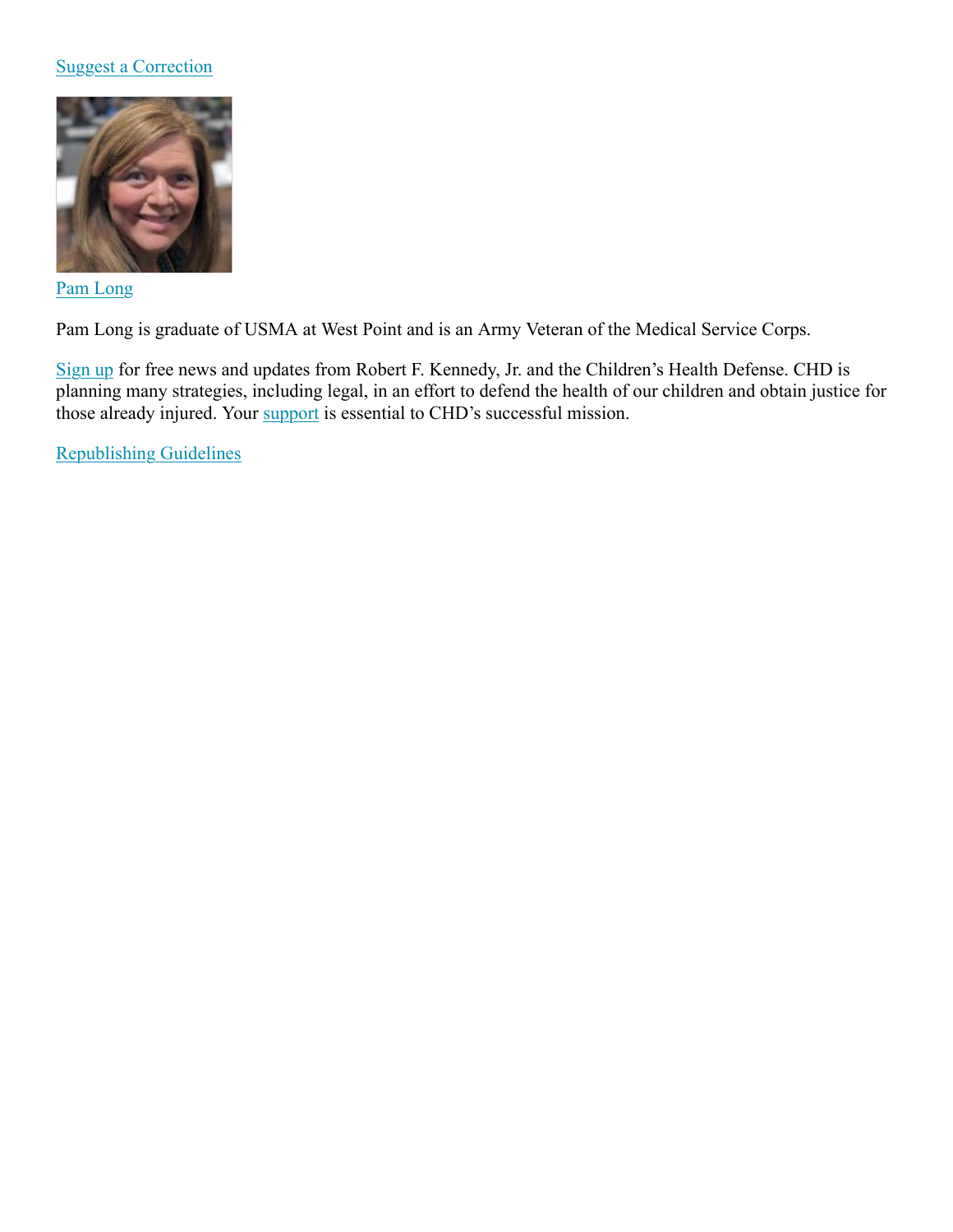#### Suggest a Correction



#### Pam Long

Pam Long is graduate of USMA at West Point and is an Army Veteran of the Medical Service Corps.

Sign up for free news and updates from Robert F. Kennedy, Jr. and the Children's Health Defense. CHD is planning many strategies, including legal, in an effort to defend the health of our children and obtain justice for those already injured. Your support is essential to CHD's successful mission.

Republishing Guidelines